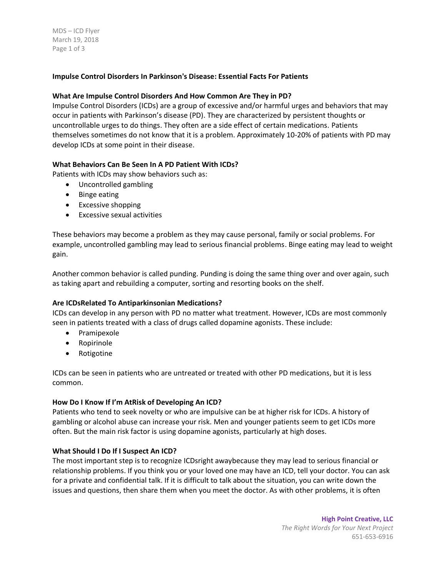MDS – ICD Flyer March 19, 2018 Page 1 of 3

# **Impulse Control Disorders In Parkinson's Disease: Essential Facts For Patients**

### **What Are Impulse Control Disorders And How Common Are They in PD?**

Impulse Control Disorders (ICDs) are a group of excessive and/or harmful urges and behaviors that may occur in patients with Parkinson's disease (PD). They are characterized by persistent thoughts or uncontrollable urges to do things. They often are a side effect of certain medications. Patients themselves sometimes do not know that it is a problem. Approximately 10-20% of patients with PD may develop ICDs at some point in their disease.

### **What Behaviors Can Be Seen In A PD Patient With ICDs?**

Patients with ICDs may show behaviors such as:

- Uncontrolled gambling
- Binge eating
- Excessive shopping
- Excessive sexual activities

These behaviors may become a problem as they may cause personal, family or social problems. For example, uncontrolled gambling may lead to serious financial problems. Binge eating may lead to weight gain.

Another common behavior is called punding. Punding is doing the same thing over and over again, such as taking apart and rebuilding a computer, sorting and resorting books on the shelf.

#### **Are ICDsRelated To Antiparkinsonian Medications?**

ICDs can develop in any person with PD no matter what treatment. However, ICDs are most commonly seen in patients treated with a class of drugs called dopamine agonists. These include:

- Pramipexole
- Ropirinole
- Rotigotine

ICDs can be seen in patients who are untreated or treated with other PD medications, but it is less common.

#### **How Do I Know If I'm AtRisk of Developing An ICD?**

Patients who tend to seek novelty or who are impulsive can be at higher risk for ICDs. A history of gambling or alcohol abuse can increase your risk. Men and younger patients seem to get ICDs more often. But the main risk factor is using dopamine agonists, particularly at high doses.

#### **What Should I Do If I Suspect An ICD?**

The most important step is to recognize ICDsright awaybecause they may lead to serious financial or relationship problems. If you think you or your loved one may have an ICD, tell your doctor. You can ask for a private and confidential talk. If it is difficult to talk about the situation, you can write down the issues and questions, then share them when you meet the doctor. As with other problems, it is often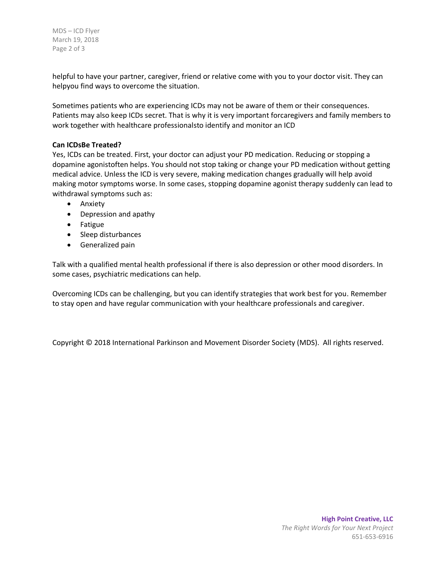MDS – ICD Flyer March 19, 2018 Page 2 of 3

helpful to have your partner, caregiver, friend or relative come with you to your doctor visit. They can helpyou find ways to overcome the situation.

Sometimes patients who are experiencing ICDs may not be aware of them or their consequences. Patients may also keep ICDs secret. That is why it is very important forcaregivers and family members to work together with healthcare professionalsto identify and monitor an ICD

## **Can ICDsBe Treated?**

Yes, ICDs can be treated. First, your doctor can adjust your PD medication. Reducing or stopping a dopamine agonistoften helps. You should not stop taking or change your PD medication without getting medical advice. Unless the ICD is very severe, making medication changes gradually will help avoid making motor symptoms worse. In some cases, stopping dopamine agonist therapy suddenly can lead to withdrawal symptoms such as:

- **•** Anxiety
- Depression and apathy
- Fatigue
- Sleep disturbances
- **•** Generalized pain

Talk with a qualified mental health professional if there is also depression or other mood disorders. In some cases, psychiatric medications can help.

Overcoming ICDs can be challenging, but you can identify strategies that work best for you. Remember to stay open and have regular communication with your healthcare professionals and caregiver.

Copyright © 2018 International Parkinson and Movement Disorder Society (MDS). All rights reserved.